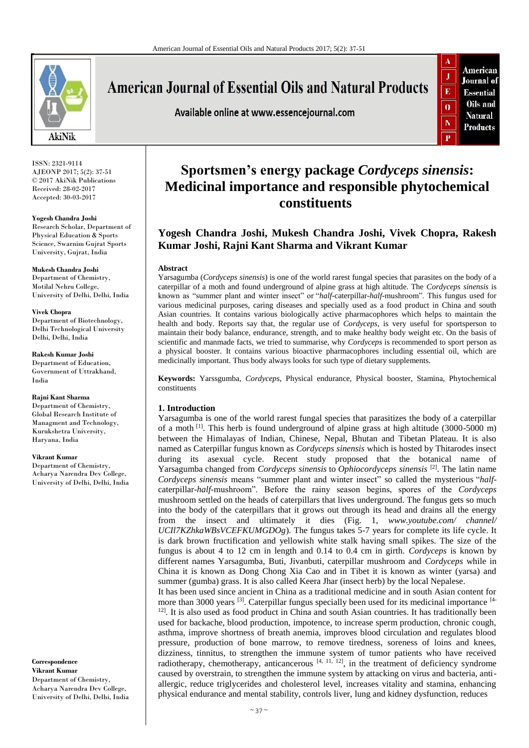

# **American Journal of Essential Oils and Natural Products**

Available online at www.essencejournal.com



ISSN: 2321-9114 AJEONP 2017; 5(2): 37-51 © 2017 AkiNik Publications Received: 28-02-2017 Accepted: 30-03-2017

**Yogesh Chandra Joshi** Research Scholar, Department of Physical Education & Sports Science, Swarnim Gujrat Sports University, Gujrat, India

**Mukesh Chandra Joshi** Department of Chemistry, Motilal Nehru College, University of Delhi, Delhi, India

**Vivek Chopra** Department of Biotechnology, Delhi Technological University Delhi, Delhi, India

**Rakesh Kumar Joshi** Department of Education, Government of Uttrakhand, India

#### **Rajni Kant Sharma**

Department of Chemistry, Global Research Institute of Managment and Technology, Kurukshetra University, Haryana, India

#### **Vikrant Kumar**

Department of Chemistry, Acharya Narendra Dev College, University of Delhi, Delhi, India

**Correspondence Vikrant Kumar** Department of Chemistry, Acharya Narendra Dev College,

University of Delhi, Delhi, India

## **Sportsmen's energy package** *Cordyceps sinensis***: Medicinal importance and responsible phytochemical constituents**

## **Yogesh Chandra Joshi, Mukesh Chandra Joshi, Vivek Chopra, Rakesh Kumar Joshi, Rajni Kant Sharma and Vikrant Kumar**

#### **Abstract**

Yarsagumba (*Cordyceps sinensis*) is one of the world rarest fungal species that parasites on the body of a caterpillar of a moth and found underground of alpine grass at high altitude. The *Cordyceps sinensis* is known as "summer plant and winter insect" or "*half*-caterpillar-*half*-mushroom". This fungus used for various medicinal purposes, caring diseases and specially used as a food product in China and south Asian countries. It contains various biologically active pharmacophores which helps to maintain the health and body. Reports say that, the regular use of *Cordyceps*, is very useful for sportsperson to maintain their body balance, endurance, strength, and to make healthy body weight etc. On the basis of scientific and manmade facts, we tried to summarise, why *Cordyceps* is recommended to sport person as a physical booster. It contains various bioactive pharmacophores including essential oil, which are medicinally important. Thus body always looks for such type of dietary supplements.

**Keywords:** Yarssgumba, *Cordyceps*, Physical endurance, Physical booster, Stamina, Phytochemical constituents

### **1. Introduction**

Yarsagumba is one of the world rarest fungal species that parasitizes the body of a caterpillar of a moth  $\left[1\right]$ . This herb is found underground of alpine grass at high altitude (3000-5000 m) between the Himalayas of Indian, Chinese, Nepal, Bhutan and Tibetan Plateau. It is also named as Caterpillar fungus known as *Cordyceps sinensis* which is hosted by Thitarodes insect during its asexual cycle. Recent study proposed that the botanical name of Yarsagumba changed from *Cordyceps sinensis* to *Ophiocordyceps sinensis* [2]. The latin name *Cordyceps sinensis* means "summer plant and winter insect" so called the mysterious "*half*caterpillar-*half*-mushroom". Before the rainy season begins, spores of the *Cordyceps* mushroom settled on the heads of caterpillars that lives underground. The fungus gets so much into the body of the caterpillars that it grows out through its head and drains all the energy from the insect and ultimately it dies (Fig. 1, *www.youtube.com/ channel/ UCIl7KZhkaWBsVCEFKUMGDOg*). The fungus takes 5-7 years for complete its life cycle. It is dark brown fructification and yellowish white stalk having small spikes. The size of the fungus is about 4 to 12 cm in length and 0.14 to 0.4 cm in girth. *Cordyceps* is known by different names Yarsagumba, Buti, Jivanbuti, caterpillar mushroom and *Cordyceps* while in China it is known as Dong Chong Xia Cao and in Tibet it is known as winter (yarsa) and summer (gumba) grass. It is also called Keera Jhar (insect herb) by the local Nepalese. It has been used since ancient in China as a traditional medicine and in south Asian content for

more than 3000 years <sup>[3]</sup>. Caterpillar fungus specially been used for its medicinal importance <sup>[4-</sup> <sup>12]</sup>. It is also used as food product in China and south Asian countries. It has traditionally been used for backache, blood production, impotence, to increase sperm production, chronic cough, asthma, improve shortness of breath anemia, improves blood circulation and regulates blood pressure, production of bone marrow, to remove tiredness, soreness of loins and knees, dizziness, tinnitus, to strengthen the immune system of tumor patients who have received radiotherapy, chemotherapy, anticancerous  $[4, 11, 12]$ , in the treatment of deficiency syndrome caused by overstrain, to strengthen the immune system by attacking on virus and bacteria, antiallergic, reduce triglycerides and cholesterol level, increases vitality and stamina, enhancing physical endurance and mental stability, controls liver, lung and kidney dysfunction, reduces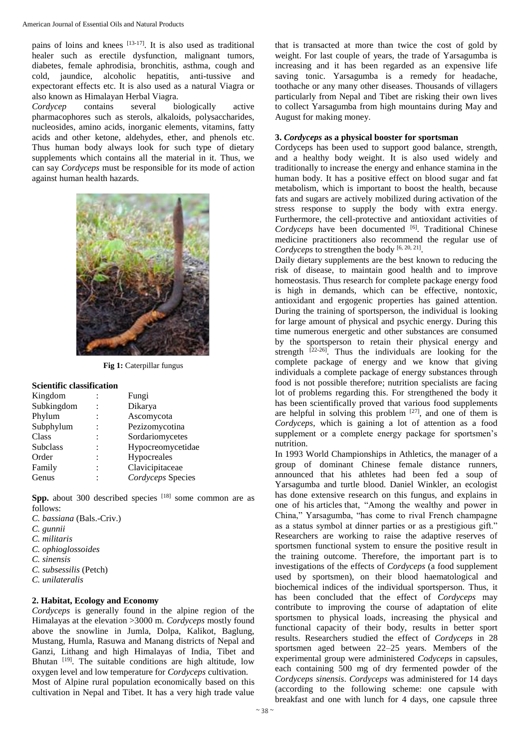pains of loins and knees  $[13-17]$ . It is also used as traditional healer such as erectile dysfunction, malignant tumors, diabetes, female aphrodisia, bronchitis, asthma, cough and cold, jaundice, alcoholic hepatitis, anti-tussive and expectorant effects etc. It is also used as a natural Viagra or also known as Himalayan Herbal Viagra.

*Cordycep* contains several biologically active pharmacophores such as sterols, alkaloids, polysaccharides, nucleosides, amino acids, inorganic elements, vitamins, fatty acids and other ketone, aldehydes, ether, and phenols etc. Thus human body always look for such type of dietary supplements which contains all the material in it. Thus, we can say *Cordyceps* must be responsible for its mode of action against human health hazards.



**Fig 1:** Caterpillar fungus

#### **Scientific classification**

| Kingdom         | Fungi             |
|-----------------|-------------------|
| Subkingdom      | Dikarya           |
| Phylum          | Ascomycota        |
| Subphylum       | Pezizomycotina    |
| Class           | Sordariomycetes   |
| <b>Subclass</b> | Hypocreomycetidae |
| Order           | Hypocreales       |
| Family          | Clavicipitaceae   |
| Genus           | Cordyceps Species |

Spp. about 300 described species <sup>[18]</sup> some common are as follows:

*C. bassiana* (Bals.-Criv.) *C. gunnii C. militaris C. ophioglossoides C. sinensis C. subsessilis* (Petch) *C. unilateralis*

#### **2. Habitat, Ecology and Economy**

*Cordyceps* is generally found in the alpine region of the Himalayas at the elevation >3000 m. *Cordyceps* mostly found above the snowline in Jumla, Dolpa, Kalikot, Baglung, Mustang, Humla, Rasuwa and Manang districts of Nepal and Ganzi, Lithang and high Himalayas of India, Tibet and Bhutan <sup>[19]</sup>. The suitable conditions are high altitude, low oxygen level and low temperature for *Cordyceps* cultivation. Most of Alpine rural population economically based on this cultivation in Nepal and Tibet. It has a very high trade value

that is transacted at more than twice the cost of gold by weight. For last couple of years, the trade of Yarsagumba is increasing and it has been regarded as an expensive life saving tonic. Yarsagumba is a remedy for headache, toothache or any many other diseases. Thousands of villagers particularly from Nepal and Tibet are risking their own lives to collect Yarsagumba from high mountains during May and August for making money.

#### **3.** *Cordyceps* **as a physical booster for sportsman**

Cordyceps has been used to support good balance, strength, and a healthy body weight. It is also used widely and traditionally to increase the energy and enhance stamina in the human body. It has a positive effect on blood sugar and fat metabolism, which is important to boost the health, because fats and sugars are actively mobilized during activation of the stress response to supply the body with extra energy. Furthermore, the cell-protective and antioxidant activities of Cordyceps have been documented [6]. Traditional Chinese medicine practitioners also recommend the regular use of Cordyceps to strengthen the body <sup>[6, 20, 21]</sup>.

Daily dietary supplements are the best known to reducing the risk of disease, to maintain good health and to improve homeostasis. Thus research for complete package energy food is high in demands, which can be effective, nontoxic, antioxidant and ergogenic properties has gained attention. During the training of sportsperson, the individual is looking for large amount of physical and psychic energy. During this time numerous energetic and other substances are consumed by the sportsperson to retain their physical energy and strength  $[22-26]$ . Thus the individuals are looking for the complete package of energy and we know that giving individuals a complete package of energy substances through food is not possible therefore; nutrition specialists are facing lot of problems regarding this. For strengthened the body it has been scientifically proved that various food supplements are helpful in solving this problem  $[27]$ , and one of them is *Cordyceps*, which is gaining a lot of attention as a food supplement or a complete energy package for sportsmen's nutrition.

In 1993 World Championships in Athletics, the manager of a group of dominant Chinese female distance runners, announced that his athletes had been fed a soup of Yarsagumba and turtle blood. Daniel Winkler, an ecologist has done extensive research on this fungus, and explains in one of his articles that, "Among the wealthy and power in China," Yarsagumba, "has come to rival French champagne as a status symbol at dinner parties or as a prestigious gift." Researchers are working to raise the adaptive reserves of sportsmen functional system to ensure the positive result in the training outcome. Therefore, the important part is to investigations of the effects of *Cordyceps* (a food supplement used by sportsmen), on their blood haematological and biochemical indices of the individual sportsperson. Thus, it has been concluded that the effect of *Cordyceps* may contribute to improving the course of adaptation of elite sportsmen to physical loads, increasing the physical and functional capacity of their body, results in better sport results. Researchers studied the effect of *Cordyceps* in 28 sportsmen aged between 22–25 years. Members of the experimental group were administered *Codyceps* in capsules, each containing 500 mg of dry fermented powder of the *Cordyceps sinensis*. *Cordyceps* was administered for 14 days (according to the following scheme: one capsule with breakfast and one with lunch for 4 days, one capsule three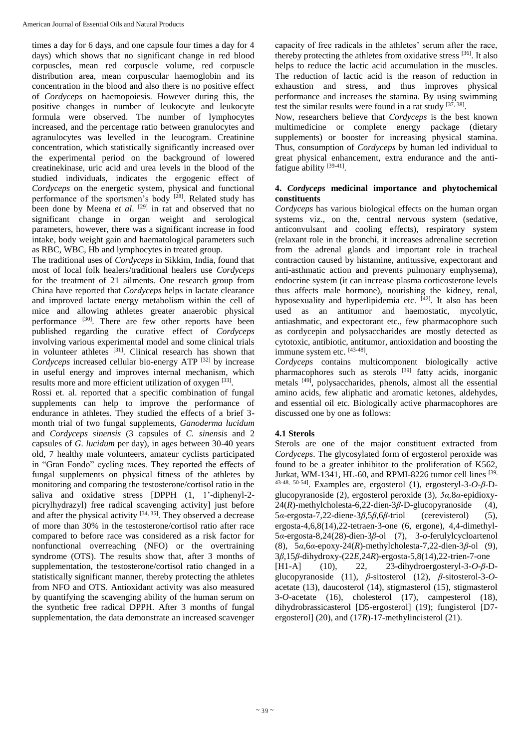times a day for 6 days, and one capsule four times a day for 4 days) which shows that no significant change in red blood corpuscles, mean red corpuscle volume, red corpuscle distribution area, mean corpuscular haemoglobin and its concentration in the blood and also there is no positive effect of *Cordyceps* on haemopoiesis. However during this, the positive changes in number of leukocyte and leukocyte formula were observed. The number of lymphocytes increased, and the percentage ratio between granulocytes and agranulocytes was levelled in the leucogram. Creatinine concentration, which statistically significantly increased over the experimental period on the background of lowered creatinekinase, uric acid and urea levels in the blood of the studied individuals, indicates the ergogenic effect of *Cordyceps* on the energetic system, physical and functional performance of the sportsmen's body  $[28]$ . Related study has been done by Meena *et al*. [29] in rat and observed that no significant change in organ weight and serological parameters, however, there was a significant increase in food intake, body weight gain and haematological parameters such as RBC, WBC, Hb and lymphocytes in treated group.

The traditional uses of *Cordyceps* in Sikkim, India, found that most of local folk healers/traditional healers use *Cordyceps* for the treatment of 21 ailments. One research group from China have reported that *Cordyceps* helps in lactate clearance and improved lactate energy metabolism within the cell of mice and allowing athletes greater anaerobic physical performance [30]. There are few other reports have been published regarding the curative effect of *Cordyceps* involving various experimental model and some clinical trials in volunteer athletes [31]. Clinical research has shown that *Cordyceps* increased cellular bio-energy ATP [32] by increase in useful energy and improves internal mechanism, which results more and more efficient utilization of oxygen [33].

Rossi et. al. reported that a specific combination of fungal supplements can help to improve the performance of endurance in athletes. They studied the effects of a brief 3 month trial of two fungal supplements, *Ganoderma lucidum*  and *Cordyceps sinensis* (3 capsules of *C. sinensis* and 2 capsules of *G. lucidum* per day), in ages between 30-40 years old, 7 healthy male volunteers, amateur cyclists participated in "Gran Fondo" cycling races. They reported the effects of fungal supplements on physical fitness of the athletes by monitoring and comparing the testosterone/cortisol ratio in the saliva and oxidative stress [DPPH (1, 1'-diphenyl-2picrylhydrazyl) free radical scavenging activity] just before and after the physical activity  $[34, 35]$ . They observed a decrease of more than 30% in the testosterone/cortisol ratio after race compared to before race was considered as a risk factor for nonfunctional overreaching (NFO) or the overtraining syndrome (OTS). The results show that, after 3 months of supplementation, the testosterone/cortisol ratio changed in a statistically significant manner, thereby protecting the athletes from NFO and OTS. Antioxidant activity was also measured by quantifying the scavenging ability of the human serum on the synthetic free radical DPPH. After 3 months of fungal supplementation, the data demonstrate an increased scavenger capacity of free radicals in the athletes' serum after the race, thereby protecting the athletes from oxidative stress  $^{[36]}$ . It also helps to reduce the lactic acid accumulation in the muscles. The reduction of lactic acid is the reason of reduction in exhaustion and stress, and thus improves physical performance and increases the stamina. By using swimming test the similar results were found in a rat study  $[37, 38]$ .

Now, researchers believe that *Cordyceps* is the best known multimedicine or complete energy package (dietary supplements) or booster for increasing physical stamina. Thus, consumption of *Cordyceps* by human led individual to great physical enhancement, extra endurance and the antifatigue ability [39-41].

## **4.** *Cordyceps* **medicinal importance and phytochemical constituents**

*Cordyceps* has various biological effects on the human organ systems viz., on the, central nervous system (sedative, anticonvulsant and cooling effects), respiratory system (relaxant role in the bronchi, it increases adrenaline secretion from the adrenal glands and important role in tracheal contraction caused by histamine, antitussive, expectorant and anti-asthmatic action and prevents pulmonary emphysema), endocrine system (it can increase plasma corticosterone levels thus affects male hormone), nourishing the kidney, renal, hyposexuality and hyperlipidemia etc. [42]. It also has been used as an antitumor and haemostatic, mycolytic, antiashmatic, and expectorant etc., few pharmacophore such as cordycepin and polysaccharides are mostly detected as cytotoxic, antibiotic, antitumor, antioxidation and boosting the immune system etc. [43-48].

*Cordyceps* contains multicomponent biologically active pharmacophores such as sterols <sup>[39]</sup> fatty acids, inorganic metals <sup>[49]</sup>, polysaccharides, phenols, almost all the essential amino acids, few aliphatic and aromatic ketones, aldehydes, and essential oil etc. Biologically active pharmacophores are discussed one by one as follows:

## **4.1 Sterols**

Sterols are one of the major constituent extracted from *Cordyceps*. The glycosylated form of ergosterol peroxide was found to be a greater inhibitor to the proliferation of K562, Jurkat, WM-1341, HL-60, and RPMI-8226 tumor cell lines  $[39, 10]$ 43-48, 50-54]. Examples are, ergosterol (1), ergosteryl-3-*O*-*β*-Dglucopyranoside (2), ergosterol peroxide (3), *5α,*8*α-*epidioxy-24(*R*)-methylcholesta-6,22-dien-3*β*-D-glucopyranoside (4), 5*α*-ergosta-7,22-diene-3*β*,5*β*,6*β*-triol (cerevisterol) (5), ergosta-4,6,8(14),22-tetraen-3-one (6, ergone), 4,4-dimethyl-5*α*-ergosta-8,24(28)-dien-3*β*-ol (7), 3-*o*-ferulylcycloartenol (8), 5*α*,6*α*-epoxy-24(*R*)-methylcholesta-7,22-dien-3*β*-ol (9), 3*β*,15*β*-dihydroxy-(22*E*,24*R*)-ergosta-5,8(14),22-trien-7-one [H1-A] (10), 22, 23-dihydroergosteryl-3-*O*-*β*-Dglucopyranoside (11), *β*-sitosterol (12), *β-*sitosterol-3-*O*acetate (13), daucosterol (14), stigmasterol (15), stigmasterol 3-*O*-acetate (16), cholesterol (17), campesterol (18), dihydrobrassicasterol [D5-ergosterol] (19); fungisterol [D7 ergosterol] (20), and (17*R*)-17-methylincisterol (21).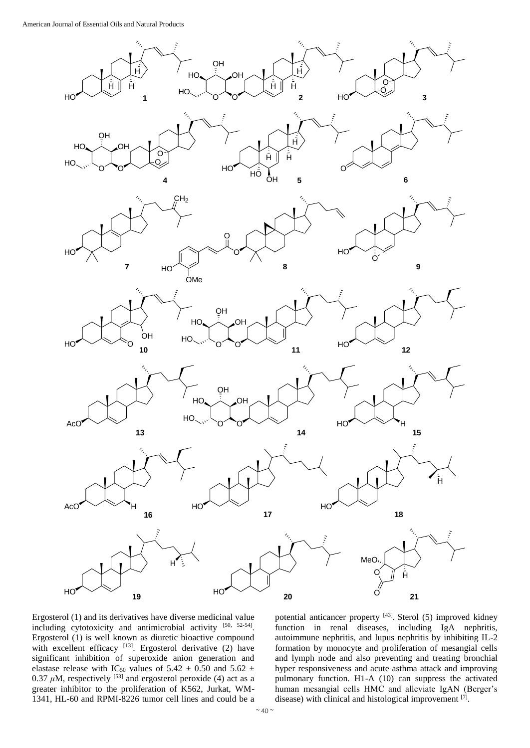

Ergosterol (1) and its derivatives have diverse medicinal value including cytotoxicity and antimicrobial activity [50, 52-54]. Ergosterol (1) is well known as diuretic bioactive compound with excellent efficacy  $[13]$ . Ergosterol derivative (2) have significant inhibition of superoxide anion generation and elastase release with IC<sub>50</sub> values of 5.42  $\pm$  0.50 and 5.62  $\pm$  $0.37 \mu M$ , respectively <sup>[53]</sup> and ergosterol peroxide (4) act as a greater inhibitor to the proliferation of K562, Jurkat, WM-1341, HL-60 and RPMI-8226 tumor cell lines and could be a

potential anticancer property [43]. Sterol (5) improved kidney function in renal diseases, including IgA nephritis, autoimmune nephritis, and lupus nephritis by inhibiting IL-2 formation by monocyte and proliferation of mesangial cells and lymph node and also preventing and treating bronchial hyper responsiveness and acute asthma attack and improving pulmonary function. H1-A (10) can suppress the activated human mesangial cells HMC and alleviate IgAN (Berger's disease) with clinical and histological improvement  $[7]$ .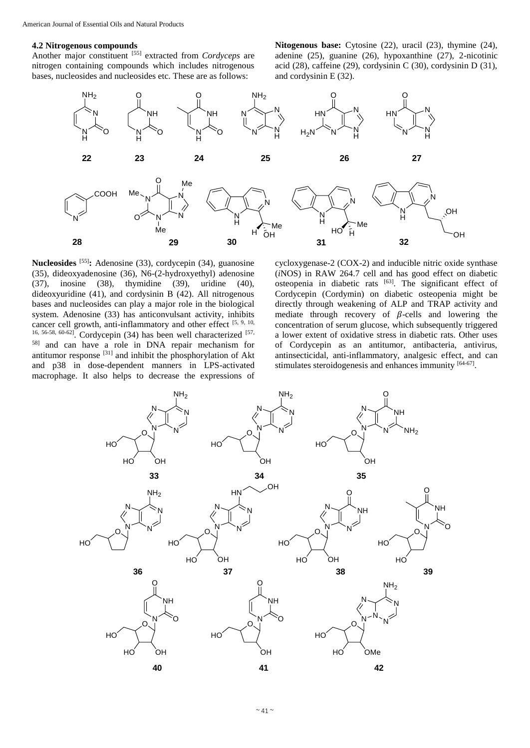#### **4.2 Nitrogenous compounds**

Another major constituent [55] extracted from *Cordyceps* are nitrogen containing compounds which includes nitrogenous bases, nucleosides and nucleosides etc. These are as follows:

**Nitogenous base:** Cytosine (22), uracil (23), thymine (24), adenine (25), guanine (26), hypoxanthine (27), 2-nicotinic acid (28), caffeine (29), cordysinin C (30), cordysinin D (31), and cordysinin E (32).



**Nucleosides** [55]**:** Adenosine (33), cordycepin (34), guanosine (35), dideoxyadenosine (36), N6-(2-hydroxyethyl) adenosine (37), inosine (38), thymidine (39), uridine (40), dideoxyuridine (41), and cordysinin B (42). All nitrogenous bases and nucleosides can play a major role in the biological system. Adenosine (33) has anticonvulsant activity, inhibits cancer cell growth, anti-inflammatory and other effect  $[5, 9, 10, 10]$ 16, 56-58, 60-62]. Cordycepin (34) has been well characterized [57, 58] and can have a role in DNA repair mechanism for antitumor response [31] and inhibit the phosphorylation of Akt and p38 in dose-dependent manners in LPS-activated macrophage. It also helps to decrease the expressions of cycloxygenase-2 (COX-2) and inducible nitric oxide synthase (*i*NOS) in RAW 264.7 cell and has good effect on diabetic osteopenia in diabetic rats [63]. The significant effect of Cordycepin (Cordymin) on diabetic osteopenia might be directly through weakening of ALP and TRAP activity and mediate through recovery of  $\beta$ -cells and lowering the concentration of serum glucose, which subsequently triggered a lower extent of oxidative stress in diabetic rats. Other uses of Cordycepin as an antitumor, antibacteria, antivirus, antinsecticidal, anti-inflammatory, analgesic effect, and can stimulates steroidogenesis and enhances immunity [64-67].

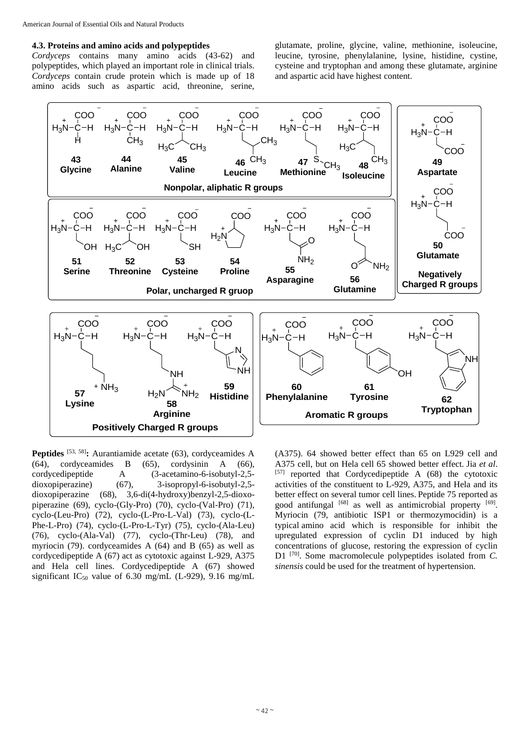#### **4.3. Proteins and amino acids and polypeptides**

*Cordyceps* contains many amino acids (43-62) and polypeptides, which played an important role in clinical trials. *Cordyceps* contain crude protein which is made up of 18 amino acids such as aspartic acid, threonine, serine,

glutamate, proline, glycine, valine, methionine, isoleucine, leucine, tyrosine, phenylalanine, lysine, histidine, cystine, cysteine and tryptophan and among these glutamate, arginine and aspartic acid have highest content.



**Peptides** [53, 58]**:** Aurantiamide acetate (63), cordyceamides A (64), cordyceamides B (65), cordysinin A (66), cordycedipeptide A (3-acetamino-6-isobutyl-2,5 dioxopiperazine) (67), 3-isopropyl-6-isobutyl-2,5 dioxopiperazine (68), 3,6-di(4-hydroxy)benzyl-2,5-dioxopiperazine (69), cyclo-(Gly-Pro) (70), cyclo-(Val-Pro) (71), cyclo-(Leu-Pro) (72), cyclo-(L-Pro-L-Val) (73), cyclo-(L-Phe-L-Pro) (74), cyclo-(L-Pro-L-Tyr) (75), cyclo-(Ala-Leu) (76), cyclo-(Ala-Val) (77), cyclo-(Thr-Leu) (78), and myriocin (79). cordyceamides A (64) and B (65) as well as cordycedipeptide A (67) act as cytotoxic against L-929, A375 and Hela cell lines. Cordycedipeptide A (67) showed significant IC<sub>50</sub> value of 6.30 mg/mL (L-929), 9.16 mg/mL

(A375). 64 showed better effect than 65 on L929 cell and A375 cell, but on Hela cell 65 showed better effect. Jia *et al*. [57] reported that Cordycedipeptide A  $(68)$  the cytotoxic activities of the constituent to L-929, A375, and Hela and its better effect on several tumor cell lines. Peptide 75 reported as good antifungal [68] as well as antimicrobial property [69]. Myriocin (79, antibiotic ISP1 or thermozymocidin) is a typical amino acid which is responsible for inhibit the upregulated expression of cyclin D1 induced by high concentrations of glucose, restoring the expression of cyclin D1 [70]. Some macromolecule polypeptides isolated from *C. sinensis* could be used for the treatment of hypertension.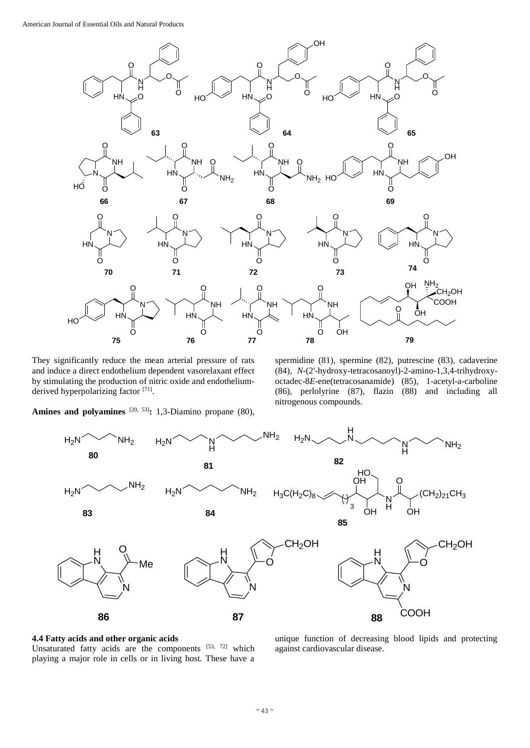

They significantly reduce the mean arterial pressure of rats and induce a direct endothelium dependent vasorelaxant effect by stimulating the production of nitric oxide and endotheliumderived hyperpolarizing factor [71].

spermidine (81), spermine (82), putrescine (83), cadaverine (84), *N*-(2'-hydroxy-tetracosanoyl)-2-amino-1,3,4-trihydroxyoctadec-8*E*-ene(tetracosanamide) (85), 1-acetyl-a-carboline (86), perlolyrine (87), flazin (88) and including all nitrogenous compounds.

Amines and polyamines <sup>[20, 53]</sup>: 1,3-Diamino propane (80),



#### **4.4 Fatty acids and other organic acids**

Unsaturated fatty acids are the components [53, 72] which playing a major role in cells or in living host. These have a

unique function of decreasing blood lipids and protecting against cardiovascular disease.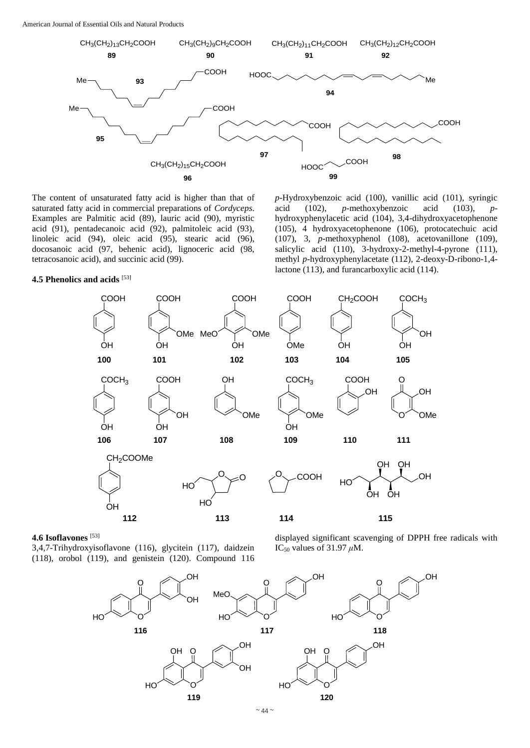American Journal of Essential Oils and Natural Products



The content of unsaturated fatty acid is higher than that of saturated fatty acid in commercial preparations of *Cordyceps*. Examples are Palmitic acid (89), lauric acid (90), myristic acid (91), pentadecanoic acid (92), palmitoleic acid (93), linoleic acid (94), oleic acid (95), stearic acid (96), docosanoic acid (97, behenic acid), lignoceric acid (98, tetracosanoic acid), and succinic acid (99).

#### **4.5 Phenolics and acids** [53]

*p*-Hydroxybenzoic acid (100), vanillic acid (101), syringic acid (102), *p*-methoxybenzoic acid (103), *p*hydroxyphenylacetic acid (104), 3,4-dihydroxyacetophenone (105), 4 hydroxyacetophenone (106), protocatechuic acid (107), 3, *p*-methoxyphenol (108), acetovanillone (109), salicylic acid (110), 3-hydroxy-2-methyl-4-pyrone (111), methyl *p*-hydroxyphenylacetate (112), 2-deoxy-D-ribono-1,4 lactone (113), and furancarboxylic acid (114).



## **4.6 Isoflavones** [53]

3,4,7-Trihydroxyisoflavone (116), glycitein (117), daidzein (118), orobol (119), and genistein (120). Compound 116 displayed significant scavenging of DPPH free radicals with IC<sup>50</sup> values of 31.97 *μ*M.

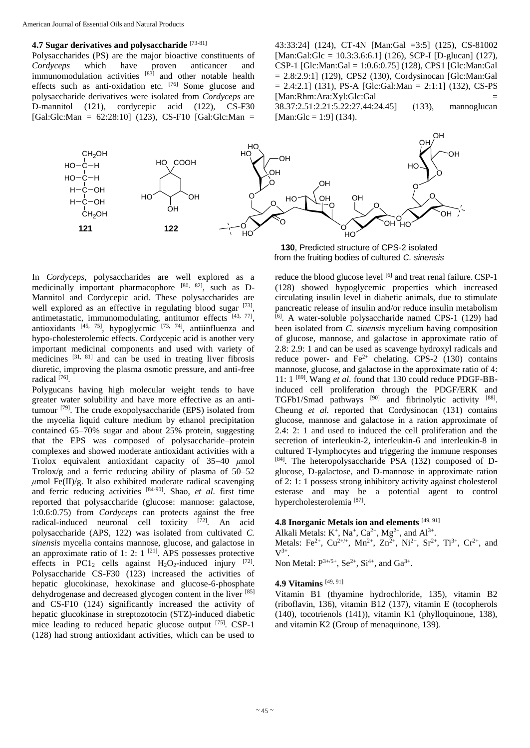#### **4.7 Sugar derivatives and polysaccharide** [73-81]

Polysaccharides (PS) are the major bioactive constituents of<br>
Cordyceps which have proven anticancer and *Cordyceps* which have proven anticancer and immunomodulation activities  $[83]$  and other notable health effects such as anti-oxidation etc. [76] Some glucose and polysaccharide derivatives were isolated from *Cordyceps* are D-mannitol (121), cordycepic acid (122), CS-F30  $[Gal:Glc:Man = 62:28:10]$  (123), CS-F10  $[Gal:Glc:Man =$ 

43:33:24] (124), CT-4N [Man:Gal =3:5] (125), CS-81002 [Man:Gal:Glc = 10.3:3.6:6.1] (126), SCP-I [D-glucan] (127), CSP-1 [Glc:Man:Gal = 1:0.6:0.75] (128), CPS1 [Glc:Man:Gal  $= 2.8:2.9:1$ ] (129), CPS2 (130), Cordysinocan [Glc:Man:Gal]  $= 2.4:2.1$ ] (131), PS-A [Glc:Gal:Man  $= 2:1:1$ ] (132), CS-PS [Man:Rhm:Ara:Xyl:Glc:Gal = 38.37:2.51:2.21:5.22:27.44:24.45] (133), mannoglucan  $[Man:Glc = 1:9]$  (134).



**130**, Predicted structure of CPS-2 isolated from the fruiting bodies of cultured *C. sinensis*

In *Cordyceps*, polysaccharides are well explored as a medicinally important pharmacophore [80, 82], such as D-Mannitol and Cordycepic acid. These polysaccharides are well explored as an effective in regulating blood sugar [73], antimetastatic, immunomodulating, antitumor effects  $[43, 77]$ , antioxidants  $[45, 75]$ , hypoglycmic  $[73, 74]$ , antiinfluenza and hypo-cholesterolemic effects. Cordycepic acid is another very important medicinal components and used with variety of medicines [31, 81] and can be used in treating liver fibrosis diuretic, improving the plasma osmotic pressure, and anti-free radical [76] .

Polygucans having high molecular weight tends to have greater water solubility and have more effective as an antitumour [79]. The crude exopolysaccharide (EPS) isolated from the mycelia liquid culture medium by ethanol precipitation contained 65–70% sugar and about 25% protein, suggesting that the EPS was composed of polysaccharide–protein complexes and showed moderate antioxidant activities with a Trolox equivalent antioxidant capacity of 35–40 *μ*mol Trolox/g and a ferric reducing ability of plasma of 50–52  $\mu$ mol Fe(II)/g. It also exhibited moderate radical scavenging and ferric reducing activities [84-90]. Shao, *et al*. first time reported that polysaccharide (glucose: mannose: galactose, 1:0.6:0.75) from *Cordyceps* can protects against the free radical-induced neuronal cell toxicity [72]. An acid polysaccharide (APS, 122) was isolated from cultivated *C. sinensis* mycelia contains mannose, glucose, and galactose in an approximate ratio of 1: 2:  $1^{[21]}$ . APS possesses protective effects in PC1<sub>2</sub> cells against H<sub>2</sub>O<sub>2</sub>-induced injury  $^{[72]}$ . Polysaccharide CS-F30 (123) increased the activities of hepatic glucokinase, hexokinase and glucose-6-phosphate dehydrogenase and decreased glycogen content in the liver [85] and CS-F10 (124) significantly increased the activity of hepatic glucokinase in streptozotocin (STZ)-induced diabetic mice leading to reduced hepatic glucose output [75]. CSP-1 (128) had strong antioxidant activities, which can be used to

reduce the blood glucose level [6] and treat renal failure. CSP-1 (128) showed hypoglycemic properties which increased circulating insulin level in diabetic animals, due to stimulate pancreatic release of insulin and/or reduce insulin metabolism  $[6]$ . A water-soluble polysaccharide named CPS-1 (129) had been isolated from *C. sinensis* mycelium having composition of glucose, mannose, and galactose in approximate ratio of 2.8: 2.9: 1 and can be used as scavenge hydroxyl radicals and reduce power- and  $Fe^{2+}$  chelating. CPS-2 (130) contains mannose, glucose, and galactose in the approximate ratio of 4: 11: 1 [89] . Wang *et al*. found that 130 could reduce PDGF-BBinduced cell proliferation through the PDGF/ERK and TGFb1/Smad pathways [90] and fibrinolytic activity [88]. Cheung *et al.* reported that Cordysinocan (131) contains glucose, mannose and galactose in a ration approximate of 2.4: 2: 1 and used to induced the cell proliferation and the secretion of interleukin-2, interleukin-6 and interleukin-8 in cultured T-lymphocytes and triggering the immune responses [84]. The heteropolysaccharide PSA (132) composed of Dglucose, D-galactose, and D-mannose in approximate ration of 2: 1: 1 possess strong inhibitory activity against cholesterol esterase and may be a potential agent to control hypercholesterolemia<sup>[87]</sup>.

#### **4.8 Inorganic Metals ion and elements** [49, 91]

Alkali Metals:  $K^+$ , Na<sup>+</sup>, Ca<sup>2+</sup>, Mg<sup>2+</sup>, and Al<sup>3+</sup>.

Metals: Fe<sup>2+</sup>, Cu<sup>2+/+</sup>, Mn<sup>2+</sup>, Zn<sup>2+</sup>, Ni<sup>2+</sup>, Sr<sup>2+</sup>, Ti<sup>3+</sup>, Cr<sup>2+</sup>, and  $V^{3+}.$ 

Non Metal:  $P^{3+/5+}$ , Se<sup>2+</sup>, Si<sup>4+</sup>, and Ga<sup>3+</sup>.

#### **4.9 Vitamins** [49, 91]

Vitamin B1 (thyamine hydrochloride, 135), vitamin B2 (riboflavin, 136), vitamin B12 (137), vitamin E (tocopherols (140), tocotrienols (141)), vitamin K1 (phylloquinone, 138), and vitamin K2 (Group of menaquinone, 139).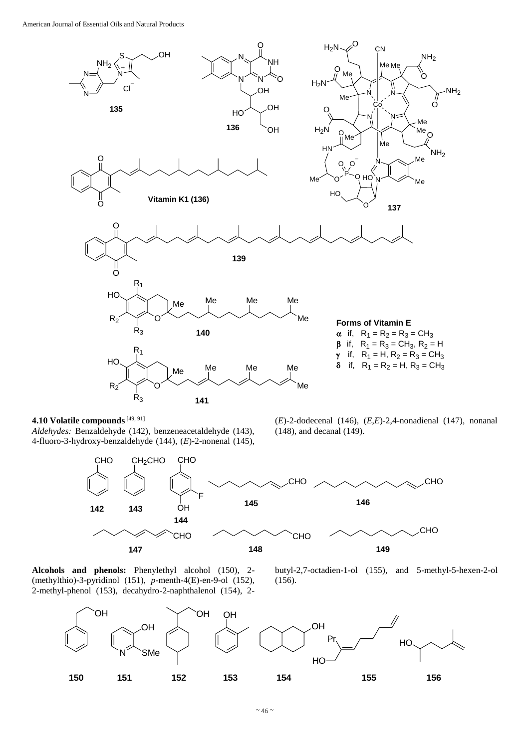

**4.10 Volatile compounds**[49, 91]

*Aldehydes:* Benzaldehyde (142), benzeneacetaldehyde (143), 4-fluoro-3-hydroxy-benzaldehyde (144), (*E*)-2-nonenal (145),



**Alcohols and phenols:** Phenylethyl alcohol (150), 2- (methylthio)-3-pyridinol (151), *p*-menth-4(E)-en-9-ol (152), 2-methyl-phenol (153), decahydro-2-naphthalenol (154), 2-



(*E*)-2-dodecenal (146), (*E*,*E*)-2,4-nonadienal (147), nonanal

(148), and decanal (149).

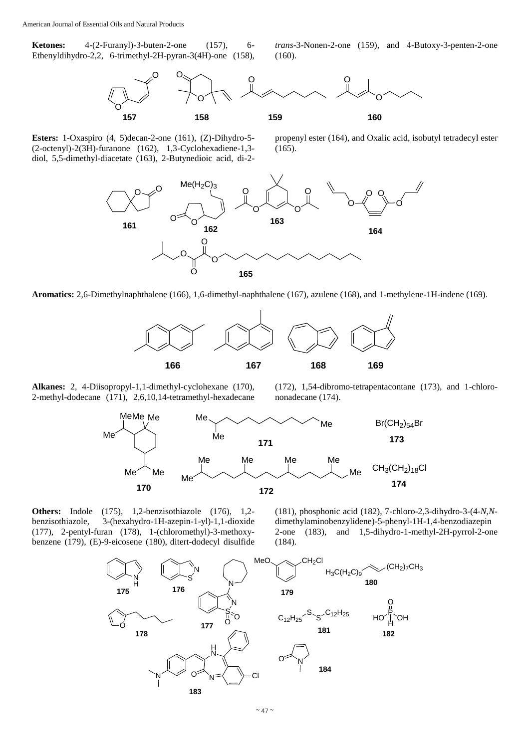**Ketones:** 4-(2-Furanyl)-3-buten-2-one (157), 6- Ethenyldihydro-2,2, 6-trimethyl-2H-pyran-3(4H)-one (158),

*trans*-3-Nonen-2-one (159), and 4-Butoxy-3-penten-2-one (160).



**Esters:** 1-Oxaspiro (4, 5)decan-2-one (161), (Z)-Dihydro-5- (2-octenyl)-2(3H)-furanone (162), 1,3-Cyclohexadiene-1,3 diol, 5,5-dimethyl-diacetate (163), 2-Butynedioic acid, di-2-

propenyl ester (164), and Oxalic acid, isobutyl tetradecyl ester (165).



**Aromatics:** 2,6-Dimethylnaphthalene (166), 1,6-dimethyl-naphthalene (167), azulene (168), and 1-methylene-1H-indene (169).



**Alkanes:** 2, 4-Diisopropyl-1,1-dimethyl-cyclohexane (170), 2-methyl-dodecane (171), 2,6,10,14-tetramethyl-hexadecane

(172), 1,54-dibromo-tetrapentacontane (173), and 1-chlorononadecane (174).



**Others:** Indole (175), 1,2-benzisothiazole (176), 1,2 benzisothiazole, 3-(hexahydro-1H-azepin-1-yl)-1,1-dioxide (177), 2-pentyl-furan (178), 1-(chloromethyl)-3-methoxybenzene (179), (E)-9-eicosene (180), ditert-dodecyl disulfide

(181), phosphonic acid (182), 7-chloro-2,3-dihydro-3-(4-*N*,*N*dimethylaminobenzylidene)-5-phenyl-1H-1,4-benzodiazepin 2-one (183), and 1,5-dihydro-1-methyl-2H-pyrrol-2-one (184).

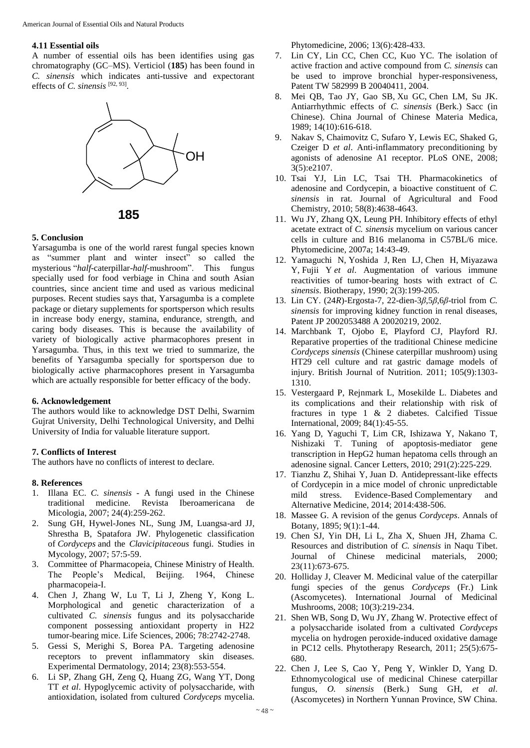#### **4.11 Essential oils**

A number of essential oils has been identifies using gas chromatography (GC–MS). Verticiol (**185**) has been found in *C. sinensis* which indicates anti-tussive and expectorant effects of *C. sinensis* [92, 93] .





#### **5. Conclusion**

Yarsagumba is one of the world rarest fungal species known as "summer plant and winter insect" so called the mysterious "*half*-caterpillar-*half*-mushroom". This fungus specially used for food verbiage in China and south Asian countries, since ancient time and used as various medicinal purposes. Recent studies says that, Yarsagumba is a complete package or dietary supplements for sportsperson which results in increase body energy, stamina, endurance, strength, and caring body diseases. This is because the availability of variety of biologically active pharmacophores present in Yarsagumba. Thus, in this text we tried to summarize, the benefits of Yarsagumba specially for sportsperson due to biologically active pharmacophores present in Yarsagumba which are actually responsible for better efficacy of the body.

#### **6. Acknowledgement**

The authors would like to acknowledge DST Delhi, Swarnim Gujrat University, Delhi Technological University, and Delhi University of India for valuable literature support.

## **7. Conflicts of Interest**

The authors have no conflicts of interest to declare.

#### **8. References**

- 1. Illana EC. *C. sinensis* A fungi used in the Chinese traditional medicine. Revista Iberoamericana de Micologia, 2007; 24(4):259-262.
- 2. Sung GH, Hywel-Jones NL, Sung JM, Luangsa-ard JJ, Shrestha B, Spatafora JW. Phylogenetic classification of *Cordyceps* and the *Clavicipitaceous* fungi. Studies in Mycology, 2007; 57:5-59.
- 3. Committee of Pharmacopeia, Chinese Ministry of Health. The People's Medical, Beijing. 1964, Chinese pharmacopeia-I.
- 4. Chen J, Zhang W, Lu T, Li J, Zheng Y, Kong L. Morphological and genetic characterization of a cultivated *C. sinensis* fungus and its polysaccharide component possessing antioxidant property in H22 tumor-bearing mice. Life Sciences, 2006; 78:2742-2748.
- 5. Gessi S, Merighi S, Borea PA. Targeting adenosine receptors to prevent inflammatory skin diseases. Experimental Dermatology, 2014; 23(8):553-554.
- 6. Li SP, Zhang GH, Zeng Q, Huang ZG, Wang YT, Dong TT *et al*. Hypoglycemic activity of polysaccharide, with antioxidation, isolated from cultured *Cordyceps* mycelia.

Phytomedicine, 2006; 13(6):428-433.

- 7. Lin CY, Lin CC, Chen CC, Kuo YC. The isolation of active fraction and active compound from *C. sinensis* can be used to improve bronchial hyper-responsiveness, Patent TW 582999 B 20040411, 2004.
- 8. Mei QB, Tao JY, Gao SB, Xu GC, Chen LM, Su JK. Antiarrhythmic effects of *C. sinensis* (Berk.) Sacc (in Chinese). China Journal of Chinese Materia Medica, 1989; 14(10):616-618.
- 9. Nakav S, Chaimovitz C, Sufaro Y, Lewis EC, Shaked G, Czeiger D *et al*. Anti-inflammatory preconditioning by agonists of adenosine A1 receptor. PLoS ONE, 2008; 3(5):e2107.
- 10. Tsai YJ, Lin LC, Tsai TH. Pharmacokinetics of adenosine and Cordycepin, a bioactive constituent of *C. sinensis* in rat. Journal of Agricultural and Food Chemistry, 2010; 58(8):4638-4643.
- 11. Wu JY, Zhang QX, Leung PH. Inhibitory effects of ethyl acetate extract of *C. sinensis* mycelium on various cancer cells in culture and B16 melanoma in C57BL/6 mice. Phytomedicine, 2007a; 14:43-49.
- 12. Yamaguchi N, Yoshida J, Ren LJ, Chen H, Miyazawa Y, Fujii Y *et al*. Augmentation of various immune reactivities of tumor-bearing hosts with extract of *C. sinensis*. Biotherapy, 1990; 2(3):199-205.
- 13. Lin CY. (24*R*)-Ergosta-7, 22-dien-3*β*,5*β*,6*β*-triol from *C. sinensis* for improving kidney function in renal diseases, Patent JP 2002053488 A 20020219, 2002.
- 14. Marchbank T, Ojobo E, Playford CJ, Playford RJ. Reparative properties of the traditional Chinese medicine *Cordyceps sinensis* (Chinese caterpillar mushroom) using HT29 cell culture and rat gastric damage models of injury. British Journal of Nutrition. 2011; 105(9):1303- 1310.
- 15. Vestergaard P, Rejnmark L, Mosekilde L. Diabetes and its complications and their relationship with risk of fractures in type 1 & 2 diabetes. Calcified Tissue International, 2009; 84(1):45-55.
- 16. Yang D, Yaguchi T, Lim CR, Ishizawa Y, Nakano T, Nishizaki T. Tuning of apoptosis-mediator gene transcription in HepG2 human hepatoma cells through an adenosine signal. Cancer Letters, 2010; 291(2):225-229.
- 17. Tianzhu Z, Shihai Y, Juan D. Antidepressant-like effects of Cordycepin in a mice model of chronic unpredictable mild stress. Evidence-Based Complementary and Alternative Medicine, 2014; 2014:438-506.
- 18. Massee G. A revision of the genus *Cordyceps*. Annals of Botany, 1895; 9(1):1-44.
- 19. Chen SJ, Yin DH, Li L, Zha X, Shuen JH, Zhama C. Resources and distribution of *C. sinensis* in Naqu Tibet. Journal of Chinese medicinal materials, 2000; 23(11):673-675.
- 20. Holliday J, Cleaver M. Medicinal value of the caterpillar fungi species of the genus *Cordyceps* (Fr.) Link (Ascomycetes). International Journal of Medicinal Mushrooms, 2008; 10(3):219-234.
- 21. Shen WB, Song D, Wu JY, Zhang W. Protective effect of a polysaccharide isolated from a cultivated *Cordyceps* mycelia on hydrogen peroxide-induced oxidative damage in PC12 cells. Phytotherapy Research, 2011; 25(5):675- 680.
- 22. Chen J, Lee S, Cao Y, Peng Y, Winkler D, Yang D. Ethnomycological use of medicinal Chinese caterpillar fungus, *O. sinensis* (Berk.) Sung GH, *et al*. (Ascomycetes) in Northern Yunnan Province, SW China.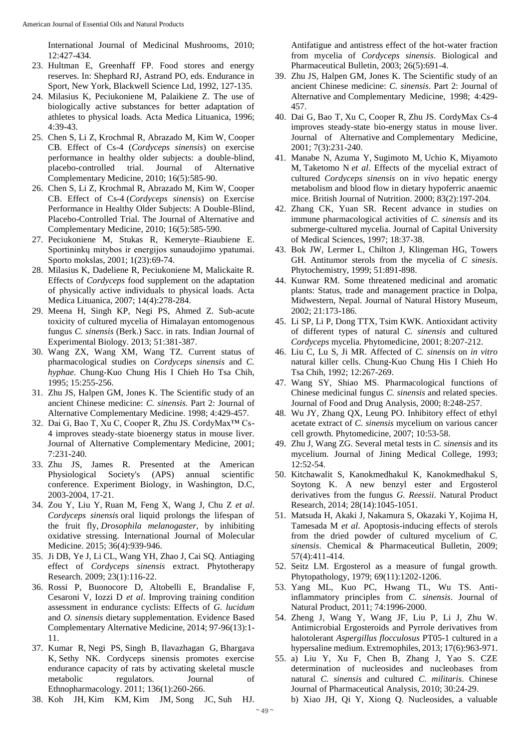International Journal of Medicinal Mushrooms, 2010; 12:427-434.

- 23. Hultman E, Greenhaff FP. Food stores and energy reserves. In: Shephard RJ, Astrand PO, eds. Endurance in Sport, New York, Blackwell Science Ltd, 1992, 127-135.
- 24. Milasius K, Peciukoniene M, Palaikiene Z. The use of biologically active substances for better adaptation of athletes to physical loads. Acta Medica Lituanica, 1996; 4:39-43.
- 25. Chen S, Li Z, Krochmal R, Abrazado M, Kim W, Cooper CB. Effect of Cs-4 (*Cordyceps sinensis*) on exercise performance in healthy older subjects: a double-blind, placebo-controlled trial. Journal of Alternative Complementary Medicine, 2010; 16(5):585-90.
- 26. Chen S, Li Z, Krochmal R, Abrazado M, Kim W, Cooper CB. Effect of Cs-4 (*Cordyceps sinensis*) on Exercise Performance in Healthy Older Subjects: A Double-Blind, Placebo-Controlled Trial. The Journal of Alternative and Complementary Medicine, 2010; 16(5):585-590.
- 27. Peciukoniene M, Stukas R, Kemeryte–Riaubiene E. Sportininkų mitybos ir energijos sunaudojimo ypatumai. Sporto mokslas, 2001; 1(23):69-74.
- 28. Milasius K, Dadeliene R, Peciukoniene M, Malickaite R. Effects of *Cordyceps* food supplement on the adaptation of physically active individuals to physical loads. Acta Medica Lituanica, 2007; 14(4):278-284.
- 29. Meena H, Singh KP, Negi PS, Ahmed Z. Sub-acute toxicity of cultured mycelia of Himalayan entomogenous fungus *C. sinensis* (Berk.) Sacc. in rats. Indian Journal of Experimental Biology. 2013; 51:381-387.
- 30. Wang ZX, Wang XM, Wang TZ. Current status of pharmacological studies on *Cordyceps sinensis* and *C. hyphae*. Chung-Kuo Chung His I Chieh Ho Tsa Chih, 1995; 15:255-256.
- 31. Zhu JS, Halpen GM, Jones K. The Scientific study of an ancient Chinese medicine: *C. sinensis*. Part 2: Journal of Alternative Complementary Medicine. 1998; 4:429-457.
- 32. Dai G, Bao T, Xu C, Cooper R, Zhu JS. CordyMax™ Cs-4 improves steady-state bioenergy status in mouse liver. Journal of Alternative Complementary Medicine, 2001; 7:231-240.
- 33. Zhu JS, James R. Presented at the American Physiological Society's (APS) annual scientific conference. Experiment Biology, in Washington, D.C, 2003-2004, 17-21.
- 34. Zou Y, Liu Y, Ruan M, Feng X, Wang J, Chu Z *et al*. *Cordyceps sinensis* oral liquid prolongs the lifespan of the fruit fly, *Drosophila melanogaster*, by inhibiting oxidative stressing. International Journal of Molecular Medicine. 2015; 36(4):939-946.
- 35. Ji DB, Ye J, Li CL, Wang YH, Zhao J, Cai SQ. Antiaging effect of *Cordyceps sinensis* extract. Phytotherapy Research. 2009; 23(1):116-22.
- 36. Rossi P, Buonocore D, Altobelli E, Brandalise F, Cesaroni V, Iozzi D *et al*. Improving training condition assessment in endurance cyclists: Effects of *G. lucidum*  and *O. sinensis* dietary supplementation. Evidence Based Complementary Alternative Medicine, 2014; 97-96(13):1- 11.
- 37. Kumar R, Negi PS, Singh B, Ilavazhagan G, Bhargava K, Sethy NK. Cordyceps sinensis promotes exercise endurance capacity of rats by activating skeletal muscle metabolic regulators. Journal of Ethnopharmacology. 2011; 136(1):260-266.
- 38. Koh JH, Kim KM, Kim JM, Song JC, Suh HJ.

Antifatigue and antistress effect of the hot-water fraction from mycelia of *Cordyceps sinensis*. Biological and Pharmaceutical Bulletin, 2003; 26(5):691-4.

- 39. Zhu JS, Halpen GM, Jones K. The Scientific study of an ancient Chinese medicine: *C. sinensis*. Part 2: Journal of Alternative and Complementary Medicine, 1998; 4:429- 457.
- 40. Dai G, Bao T, Xu C, Cooper R, Zhu JS. CordyMax Cs-4 improves steady-state bio-energy status in mouse liver. Journal of Alternative and Complementary Medicine, 2001; 7(3):231-240.
- 41. Manabe N, Azuma Y, Sugimoto M, Uchio K, Miyamoto M, Taketomo N *et al*. Effects of the mycelial extract of cultured *Cordyceps sinensis* on in *vivo* hepatic energy metabolism and blood flow in dietary hypoferric anaemic mice. British Journal of Nutrition. 2000; 83(2):197-204.
- 42. Zhang CK, Yuan SR. Recent advance in studies on immune pharmacological activities of *C. sinensis* and its submerge-cultured mycelia. Journal of Capital University of Medical Sciences, 1997; 18:37-38.
- 43. Bok JW, Lermer L, Chilton J, Klingeman HG, Towers GH. Antitumor sterols from the mycelia of *C sinesis*. Phytochemistry, 1999; 51:891-898.
- 44. Kunwar RM. Some threatened medicinal and aromatic plants: Status, trade and management practice in Dolpa, Midwestern, Nepal. Journal of Natural History Museum, 2002; 21:173-186.
- 45. Li SP, Li P, Dong TTX, Tsim KWK. Antioxidant activity of different types of natural *C. sinensis* and cultured *Cordyceps* mycelia. Phytomedicine, 2001; 8:207-212.
- 46. Liu C, Lu S, Ji MR. Affected of *C. sinensis* on *in vitro* natural killer cells. Chung-Kuo Chung His I Chieh Ho Tsa Chih, 1992; 12:267-269.
- 47. Wang SY, Shiao MS. Pharmacological functions of Chinese medicinal fungus *C. sinensis* and related species. Journal of Food and Drug Analysis, 2000; 8:248-257.
- 48. Wu JY, Zhang QX, Leung PO. Inhibitory effect of ethyl acetate extract of *C. sinensis* mycelium on various cancer cell growth. Phytomedicine, 2007; 10:53-58.
- 49. Zhu J, Wang ZG. Several metal tests in *C. sinensis* and its mycelium. Journal of Jining Medical College, 1993; 12:52-54.
- 50. Kitchawalit S, Kanokmedhakul K, Kanokmedhakul S, Soytong K. A new benzyl ester and Ergosterol derivatives from the fungus *G. Reessii*. Natural Product Research, 2014; 28(14):1045-1051.
- 51. Matsuda H, Akaki J, Nakamura S, Okazaki Y, Kojima H, Tamesada M *et al*. Apoptosis-inducing effects of sterols from the dried powder of cultured mycelium of *C. sinensis*. Chemical & Pharmaceutical Bulletin, 2009; 57(4):411-414.
- 52. Seitz LM. Ergosterol as a measure of fungal growth. Phytopathology, 1979; 69(11):1202-1206.
- 53. Yang ML, Kuo PC, Hwang TL, Wu TS. Antiinflammatory principles from *C. sinensis*. Journal of Natural Product, 2011; 74:1996-2000.
- 54. Zheng J, Wang Y, Wang JF, Liu P, Li J, Zhu W. Antimicrobial Ergosteroids and Pyrrole derivatives from halotolerant *Aspergillus flocculosus* PT05-1 cultured in a hypersaline medium. Extremophiles, 2013; 17(6):963-971.
- 55. a) Liu Y, Xu F, Chen B, Zhang J, Yao S. CZE determination of nucleosides and nucleobases from natural *C. sinensis* and cultured *C. militaris*. Chinese Journal of Pharmaceutical Analysis, 2010; 30:24-29. b) Xiao JH, Qi Y, Xiong Q. Nucleosides, a valuable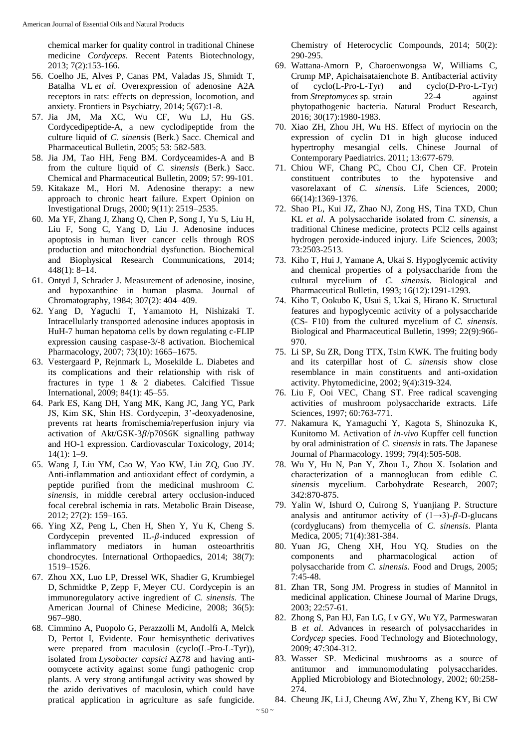chemical marker for quality control in traditional Chinese medicine *Cordyceps*. Recent Patents Biotechnology, 2013; 7(2):153-166.

- 56. Coelho JE, Alves P, Canas PM, Valadas JS, Shmidt T, Batalha VL *et al*. Overexpression of adenosine A2A receptors in rats: effects on depression, locomotion, and anxiety. Frontiers in Psychiatry, 2014; 5(67):1-8.
- 57. Jia JM, Ma XC, Wu CF, Wu LJ, Hu GS. Cordycedipeptide-A, a new cyclodipeptide from the culture liquid of *C. sinensis* (Berk.) Sacc. Chemical and Pharmaceutical Bulletin, 2005; 53: 582-583.
- 58. Jia JM, Tao HH, Feng BM. Cordyceamides-A and B from the culture liquid of *C. sinensis* (Berk.) Sacc. Chemical and Pharmaceutical Bulletin, 2009; 57: 99-101.
- 59. Kitakaze M., Hori M. Adenosine therapy: a new approach to chronic heart failure. Expert Opinion on Investigational Drugs, 2000; 9(11): 2519–2535.
- 60. Ma YF, Zhang J, Zhang Q, Chen P, Song J, Yu S, Liu H, Liu F, Song C, Yang D, Liu J. Adenosine induces apoptosis in human liver cancer cells through ROS production and mitochondrial dysfunction. Biochemical and Biophysical Research Communications, 2014; 448(1): 8–14.
- 61. Ontyd J, Schrader J. Measurement of adenosine, inosine, and hypoxanthine in human plasma. Journal of Chromatography, 1984; 307(2): 404–409.
- 62. Yang D, Yaguchi T, Yamamoto H, Nishizaki T. Intracellularly transported adenosine induces apoptosis in HuH-7 human hepatoma cells by down regulating c-FLIP expression causing caspase-3/-8 activation. Biochemical Pharmacology, 2007; 73(10): 1665–1675.
- 63. Vestergaard P, Rejnmark L, Mosekilde L. Diabetes and its complications and their relationship with risk of fractures in type 1 & 2 diabetes. Calcified Tissue International, 2009; 84(1): 45–55.
- 64. Park ES, Kang DH, Yang MK, Kang JC, Jang YC, Park JS, Kim SK, Shin HS. Cordycepin, 3'-deoxyadenosine, prevents rat hearts fromischemia/reperfusion injury via activation of Akt/GSK- $3\beta$ /p70S6K signalling pathway and HO-1 expression. Cardiovascular Toxicology, 2014;  $14(1): 1-9.$
- 65. Wang J, Liu YM, Cao W, Yao KW, Liu ZQ, Guo JY. Anti-inflammation and antioxidant effect of cordymin, a peptide purified from the medicinal mushroom *C. sinensis*, in middle cerebral artery occlusion-induced focal cerebral ischemia in rats. Metabolic Brain Disease, 2012; 27(2): 159–165.
- 66. Ying XZ, Peng L, Chen H, Shen Y, Yu K, Cheng S. Cordycepin prevented IL- $\beta$ -induced expression of inflammatory mediators in human osteoarthritis chondrocytes. International Orthopaedics, 2014; 38(7): 1519–1526.
- 67. Zhou XX, Luo LP, Dressel WK, Shadier G, Krumbiegel D, Schmidtke P, Zepp F, Meyer CU. Cordycepin is an immunoregulatory active ingredient of *C. sinensis*. The American Journal of Chinese Medicine, 2008; 36(5): 967–980.
- 68. Cimmino A, Puopolo G, Perazzolli M, Andolfi A, Melck D, Pertot I, Evidente. Four hemisynthetic derivatives were prepared from maculosin (cyclo(L-Pro-L-Tyr)), isolated from *Lysobacter capsici* AZ78 and having antioomycete activity against some fungi pathogenic crop plants. A very strong antifungal activity was showed by the azido derivatives of maculosin, which could have pratical application in agriculture as safe fungicide.

Chemistry of Heterocyclic Compounds, 2014; 50(2): 290-295.

- 69. Wattana-Amorn P, Charoenwongsa W, Williams C, Crump MP, Apichaisataienchote B. Antibacterial activity of cyclo(L-Pro-L-Tyr) and cyclo(D-Pro-L-Tyr) from *Streptomyces* sp*.* strain 22-4 against phytopathogenic bacteria. Natural Product Research, 2016; 30(17):1980-1983.
- 70. Xiao ZH, Zhou JH, Wu HS. Effect of myriocin on the expression of cyclin D1 in high glucose induced hypertrophy mesangial cells. Chinese Journal of Contemporary Paediatrics. 2011; 13:677-679.
- 71. Chiou WF, Chang PC, Chou CJ, Chen CF. Protein constituent contributes to the hypotensive and vasorelaxant of *C. sinensis*. Life Sciences, 2000; 66(14):1369-1376.
- 72. Shao PL, Kui JZ, Zhao NJ, Zong HS, Tina TXD, Chun KL *et al*. A polysaccharide isolated from *C. sinensis*, a traditional Chinese medicine, protects PCl2 cells against hydrogen peroxide-induced injury. Life Sciences, 2003; 73:2503-2513.
- 73. Kiho T, Hui J, Yamane A, Ukai S. Hypoglycemic activity and chemical properties of a polysaccharide from the cultural mycelium of *C. sinensis*. Biological and Pharmaceutical Bulletin, 1993; 16(12):1291-1293.
- 74. Kiho T, Ookubo K, Usui S, Ukai S, Hirano K. Structural features and hypoglycemic activity of a polysaccharide (CS- F10) from the cultured mycelium of *C. sinensis*. Biological and Pharmaceutical Bulletin, 1999; 22(9):966- 970.
- 75. Li SP, Su ZR, Dong TTX, Tsim KWK. The fruiting body and its caterpillar host of *C. sinensis* show close resemblance in main constituents and anti-oxidation activity. Phytomedicine, 2002; 9(4):319-324.
- 76. Liu F, Ooi VEC, Chang ST. Free radical scavenging activities of mushroom polysaccharide extracts. Life Sciences, 1997; 60:763-771.
- 77. Nakamura K, Yamaguchi Y, Kagota S, Shinozuka K, Kunitomo M. Activation of *in-vivo* Kupffer cell function by oral administration of *C. sinensis* in rats. The Japanese Journal of Pharmacology. 1999; 79(4):505-508.
- 78. Wu Y, Hu N, Pan Y, Zhou L, Zhou X. Isolation and characterization of a mannoglucan from edible *C. sinensis* mycelium. Carbohydrate Research, 2007; 342:870-875.
- 79. Yalin W, Ishurd O, Cuirong S, Yuanjiang P. Structure analysis and antitumor activity of  $(1\rightarrow 3)$ - $\beta$ -D-glucans (cordyglucans) from themycelia of *C. sinensis*. Planta Medica, 2005; 71(4):381-384.
- 80. Yuan JG, Cheng XH, Hou YQ. Studies on the components and pharmacological action of polysaccharide from *C. sinensis*. Food and Drugs, 2005; 7:45-48.
- 81. Zhan TR, Song JM. Progress in studies of Mannitol in medicinal application. Chinese Journal of Marine Drugs, 2003; 22:57-61.
- 82. Zhong S, Pan HJ, Fan LG, Lv GY, Wu YZ, Parmeswaran B *et al*. Advances in research of polysaccharides in *Cordycep* species. Food Technology and Biotechnology, 2009; 47:304-312.
- 83. Wasser SP. Medicinal mushrooms as a source of antitumor and immunomodulating polysaccharides. Applied Microbiology and Biotechnology, 2002; 60:258- 274.
- 84. Cheung JK, Li J, Cheung AW, Zhu Y, Zheng KY, Bi CW